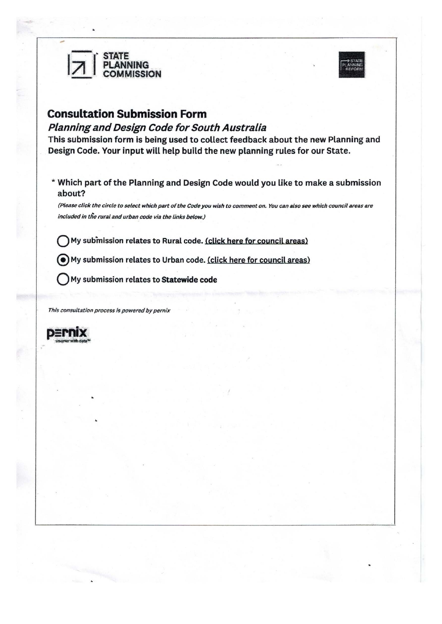



## **Consultation Submission Form**

#### Planning and Design Code for South Australia

This submission form is being used to collect feedback about the new Planning and Design Code. Your input will help build the new planning rules for our State.

\* Which part of the Planning and Design Code would you like to make a submission about?

*(Please click the circle to select which part of the Code you wish to comment on. You can also see which council areas are included in the rural and urban code via the links below.)* 

My submission relates to Rural code. (click here for council areas)

@My submission relates to Urban code. (click here for council areas)

Q My submission relates to **Statewide code** 

*This consultation process is powered* by *pernix* 

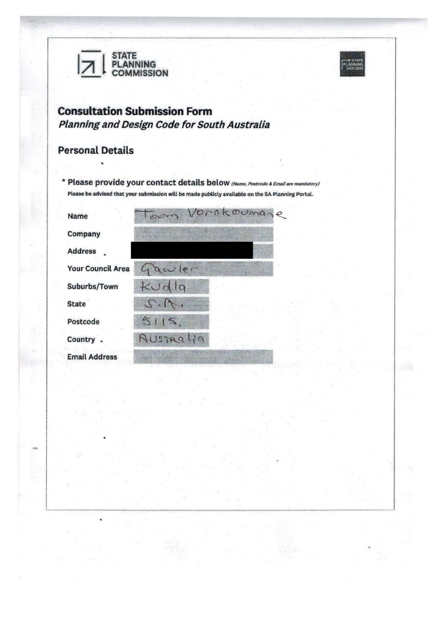



# **Consultation Submission Form**  Planning and Design Code for South Australia

### Personal Details

-

\* Please provide your contact details below (Name, Postcode & Email are mandatory) Please be advised that your submission will be made publicly available on the SA Planning Portal.

| Name                     | Vorakoumane<br>Toom |
|--------------------------|---------------------|
| Company                  |                     |
| <b>Address</b>           |                     |
| <b>Your Council Area</b> | Gawler              |
| Suburbs/Town             | Kudla               |
| <b>State</b>             | $2 - 12 - 1$        |
| Postcode                 | 515.                |
| Country .                | AUSTRALIA           |
| <b>Email Address</b>     |                     |